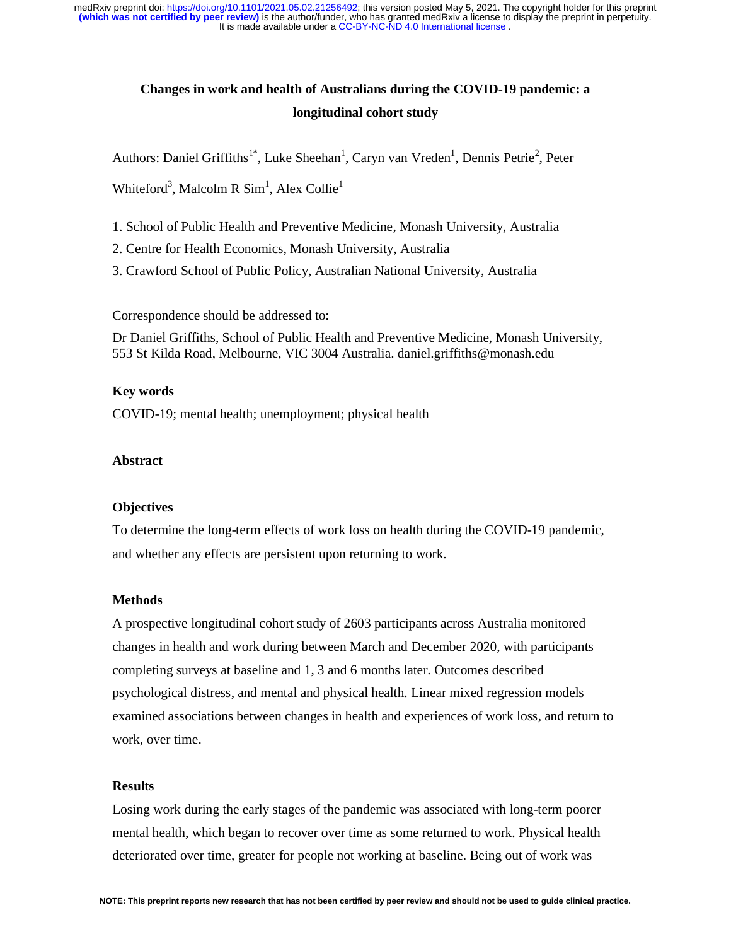# **Changes in work and health of Australians during the COVID-19 pandemic: a longitudinal cohort study**

Authors: Daniel Griffiths<sup>1\*</sup>, Luke Sheehan<sup>1</sup>, Caryn van Vreden<sup>1</sup>, Dennis Petrie<sup>2</sup>, Peter

Whiteford<sup>3</sup>, Malcolm R  $Sim<sup>1</sup>$ , Alex Collie<sup>1</sup>

- 1. School of Public Health and Preventive Medicine, Monash University, Australia
- 2. Centre for Health Economics, Monash University, Australia
- 3. Crawford School of Public Policy, Australian National University, Australia

Correspondence should be addressed to:

Dr Daniel Griffiths, School of Public Health and Preventive Medicine, Monash University, 553 St Kilda Road, Melbourne, VIC 3004 Australia. daniel.griffiths@monash.edu

## **Key words**

COVID-19; mental health; unemployment; physical health

## **Abstract**

## **Objectives**

To determine the long-term effects of work loss on health during the COVID-19 pandemic, and whether any effects are persistent upon returning to work.

## **Methods**

A prospective longitudinal cohort study of 2603 participants across Australia monitored changes in health and work during between March and December 2020, with participants completing surveys at baseline and 1, 3 and 6 months later. Outcomes described psychological distress, and mental and physical health. Linear mixed regression models examined associations between changes in health and experiences of work loss, and return to work, over time.

## **Results**

Losing work during the early stages of the pandemic was associated with long-term poorer mental health, which began to recover over time as some returned to work. Physical health deteriorated over time, greater for people not working at baseline. Being out of work was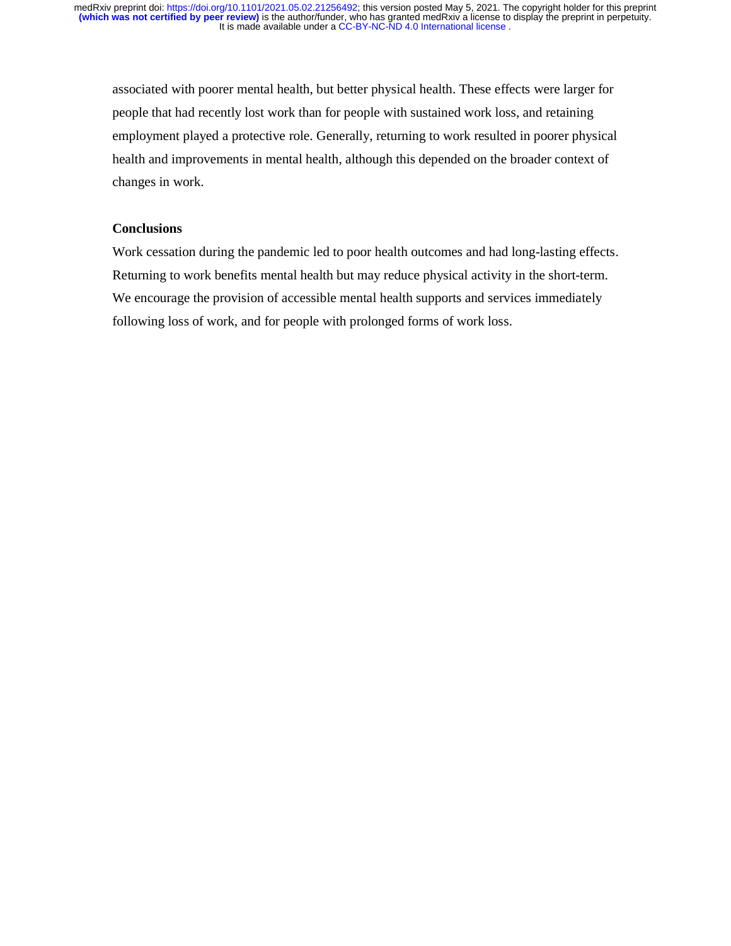associated with poorer mental health, but better physical health. These effects were larger for people that had recently lost work than for people with sustained work loss, and retaining employment played a protective role. Generally, returning to work resulted in poorer physical health and improvements in mental health, although this depended on the broader context of changes in work.

## **Conclusions**

Work cessation during the pandemic led to poor health outcomes and had long-lasting effects. Returning to work benefits mental health but may reduce physical activity in the short-term. We encourage the provision of accessible mental health supports and services immediately following loss of work, and for people with prolonged forms of work loss.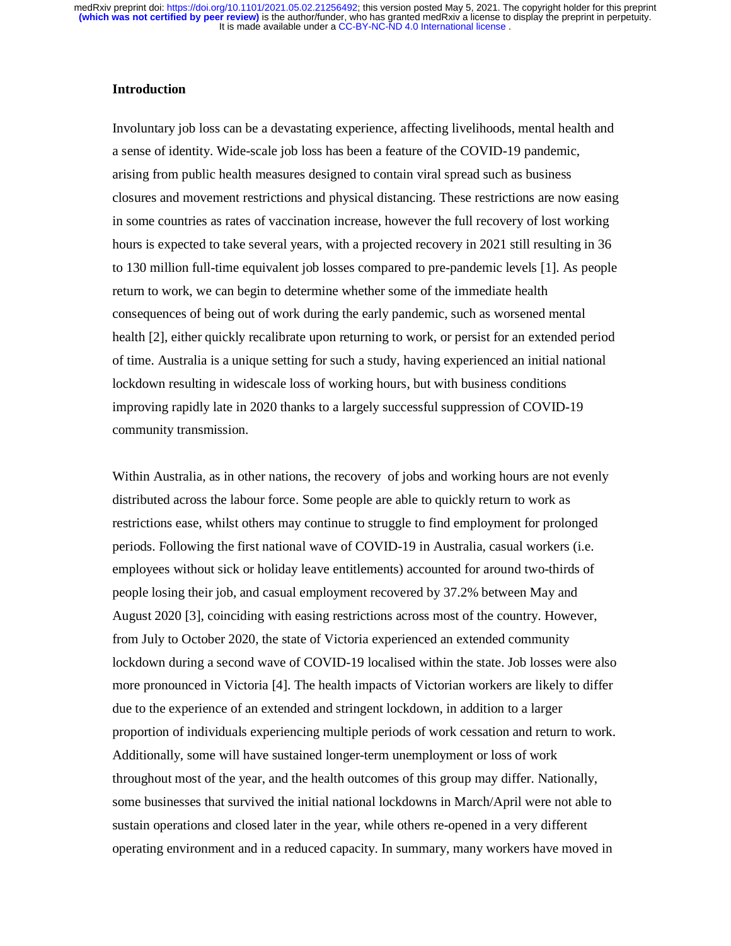## **Introduction**

Involuntary job loss can be a devastating experience, affecting livelihoods, mental health and a sense of identity. Wide-scale job loss has been a feature of the COVID-19 pandemic, arising from public health measures designed to contain viral spread such as business closures and movement restrictions and physical distancing. These restrictions are now easing in some countries as rates of vaccination increase, however the full recovery of lost working hours is expected to take several years, with a projected recovery in 2021 still resulting in 36 to 130 million full-time equivalent job losses compared to pre-pandemic levels [1]. As people return to work, we can begin to determine whether some of the immediate health consequences of being out of work during the early pandemic, such as worsened mental health [2], either quickly recalibrate upon returning to work, or persist for an extended period of time. Australia is a unique setting for such a study, having experienced an initial national lockdown resulting in widescale loss of working hours, but with business conditions improving rapidly late in 2020 thanks to a largely successful suppression of COVID-19 community transmission.

Within Australia, as in other nations, the recovery of jobs and working hours are not evenly distributed across the labour force. Some people are able to quickly return to work as restrictions ease, whilst others may continue to struggle to find employment for prolonged periods. Following the first national wave of COVID-19 in Australia, casual workers (i.e. employees without sick or holiday leave entitlements) accounted for around two-thirds of people losing their job, and casual employment recovered by 37.2% between May and August 2020 [3], coinciding with easing restrictions across most of the country. However, from July to October 2020, the state of Victoria experienced an extended community lockdown during a second wave of COVID-19 localised within the state. Job losses were also more pronounced in Victoria [4]. The health impacts of Victorian workers are likely to differ due to the experience of an extended and stringent lockdown, in addition to a larger proportion of individuals experiencing multiple periods of work cessation and return to work. Additionally, some will have sustained longer-term unemployment or loss of work throughout most of the year, and the health outcomes of this group may differ. Nationally, some businesses that survived the initial national lockdowns in March/April were not able to sustain operations and closed later in the year, while others re-opened in a very different operating environment and in a reduced capacity. In summary, many workers have moved in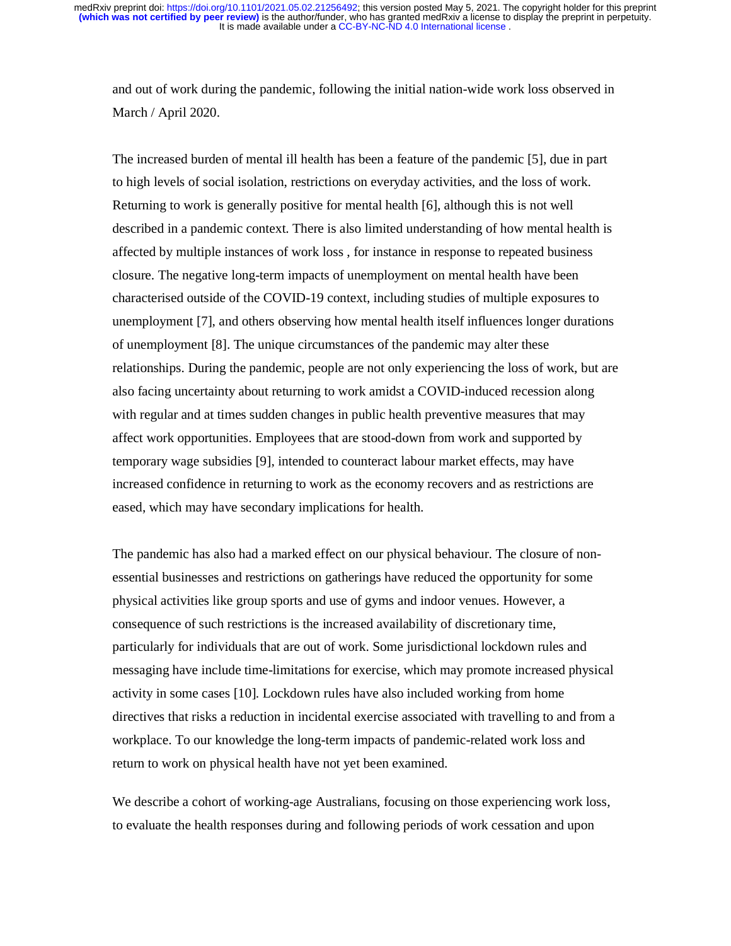and out of work during the pandemic, following the initial nation-wide work loss observed in March / April 2020.

The increased burden of mental ill health has been a feature of the pandemic [5], due in part to high levels of social isolation, restrictions on everyday activities, and the loss of work. Returning to work is generally positive for mental health [6], although this is not well described in a pandemic context. There is also limited understanding of how mental health is affected by multiple instances of work loss , for instance in response to repeated business closure. The negative long-term impacts of unemployment on mental health have been characterised outside of the COVID-19 context, including studies of multiple exposures to unemployment [7], and others observing how mental health itself influences longer durations of unemployment [8]. The unique circumstances of the pandemic may alter these relationships. During the pandemic, people are not only experiencing the loss of work, but are also facing uncertainty about returning to work amidst a COVID-induced recession along with regular and at times sudden changes in public health preventive measures that may affect work opportunities. Employees that are stood-down from work and supported by temporary wage subsidies [9], intended to counteract labour market effects, may have increased confidence in returning to work as the economy recovers and as restrictions are eased, which may have secondary implications for health.

The pandemic has also had a marked effect on our physical behaviour. The closure of nonessential businesses and restrictions on gatherings have reduced the opportunity for some physical activities like group sports and use of gyms and indoor venues. However, a consequence of such restrictions is the increased availability of discretionary time, particularly for individuals that are out of work. Some jurisdictional lockdown rules and messaging have include time-limitations for exercise, which may promote increased physical activity in some cases [10]. Lockdown rules have also included working from home directives that risks a reduction in incidental exercise associated with travelling to and from a workplace. To our knowledge the long-term impacts of pandemic-related work loss and return to work on physical health have not yet been examined.

We describe a cohort of working-age Australians, focusing on those experiencing work loss, to evaluate the health responses during and following periods of work cessation and upon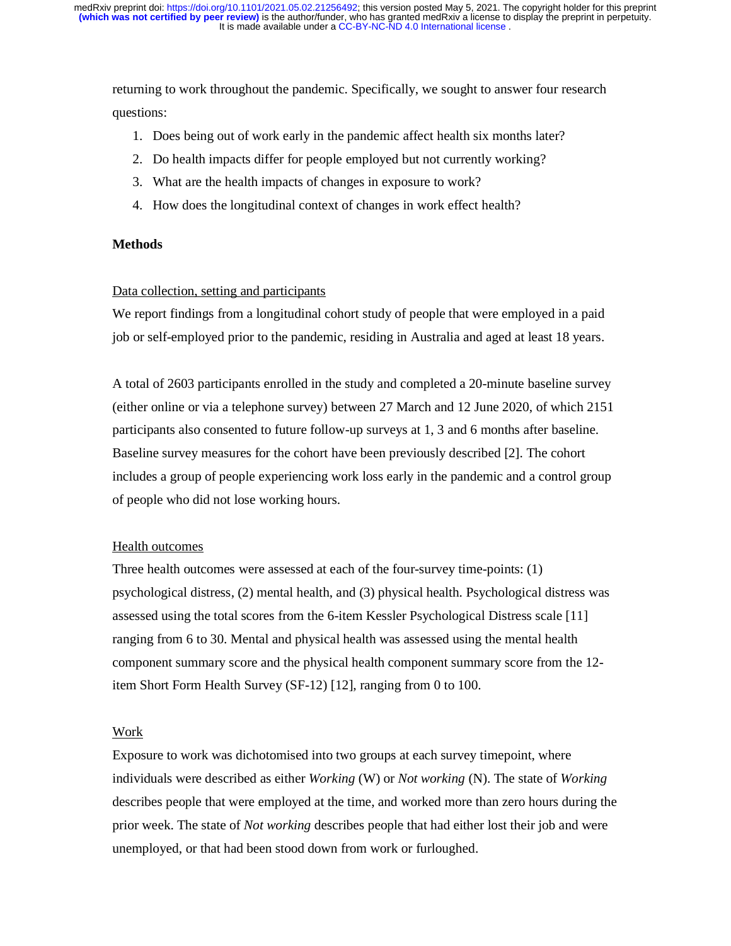returning to work throughout the pandemic. Specifically, we sought to answer four research questions:

- 1. Does being out of work early in the pandemic affect health six months later?
- 2. Do health impacts differ for people employed but not currently working?
- 3. What are the health impacts of changes in exposure to work?
- 4. How does the longitudinal context of changes in work effect health?

## **Methods**

## Data collection, setting and participants

We report findings from a longitudinal cohort study of people that were employed in a paid job or self-employed prior to the pandemic, residing in Australia and aged at least 18 years.

A total of 2603 participants enrolled in the study and completed a 20-minute baseline survey (either online or via a telephone survey) between 27 March and 12 June 2020, of which 2151 participants also consented to future follow-up surveys at 1, 3 and 6 months after baseline. Baseline survey measures for the cohort have been previously described [2]. The cohort includes a group of people experiencing work loss early in the pandemic and a control group of people who did not lose working hours.

#### Health outcomes

Three health outcomes were assessed at each of the four-survey time-points: (1) psychological distress, (2) mental health, and (3) physical health. Psychological distress was assessed using the total scores from the 6-item Kessler Psychological Distress scale [11] ranging from 6 to 30. Mental and physical health was assessed using the mental health component summary score and the physical health component summary score from the 12 item Short Form Health Survey (SF-12) [12], ranging from 0 to 100.

#### Work

Exposure to work was dichotomised into two groups at each survey timepoint, where individuals were described as either *Working* (W) or *Not working* (N). The state of *Working* describes people that were employed at the time, and worked more than zero hours during the prior week. The state of *Not working* describes people that had either lost their job and were unemployed, or that had been stood down from work or furloughed.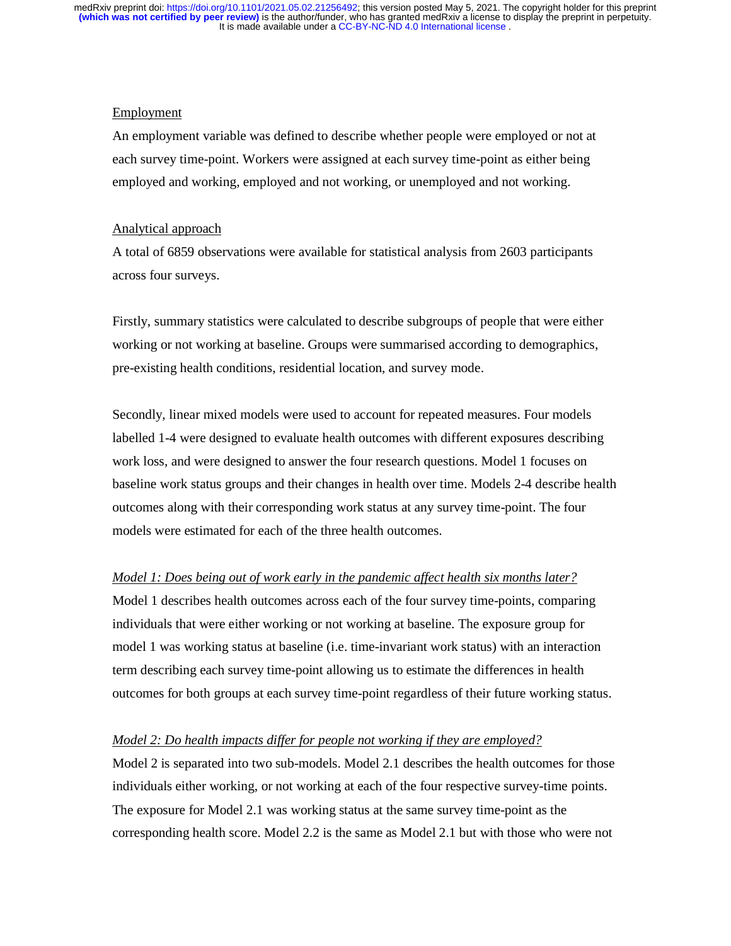## Employment

An employment variable was defined to describe whether people were employed or not at each survey time-point. Workers were assigned at each survey time-point as either being employed and working, employed and not working, or unemployed and not working.

## Analytical approach

A total of 6859 observations were available for statistical analysis from 2603 participants across four surveys.

Firstly, summary statistics were calculated to describe subgroups of people that were either working or not working at baseline. Groups were summarised according to demographics, pre-existing health conditions, residential location, and survey mode.

Secondly, linear mixed models were used to account for repeated measures. Four models labelled 1-4 were designed to evaluate health outcomes with different exposures describing work loss, and were designed to answer the four research questions. Model 1 focuses on baseline work status groups and their changes in health over time. Models 2-4 describe health outcomes along with their corresponding work status at any survey time-point. The four models were estimated for each of the three health outcomes.

## *Model 1: Does being out of work early in the pandemic affect health six months later?*

Model 1 describes health outcomes across each of the four survey time-points, comparing individuals that were either working or not working at baseline. The exposure group for model 1 was working status at baseline (i.e. time-invariant work status) with an interaction term describing each survey time-point allowing us to estimate the differences in health outcomes for both groups at each survey time-point regardless of their future working status.

#### *Model 2: Do health impacts differ for people not working if they are employed?*

Model 2 is separated into two sub-models. Model 2.1 describes the health outcomes for those individuals either working, or not working at each of the four respective survey-time points. The exposure for Model 2.1 was working status at the same survey time-point as the corresponding health score. Model 2.2 is the same as Model 2.1 but with those who were not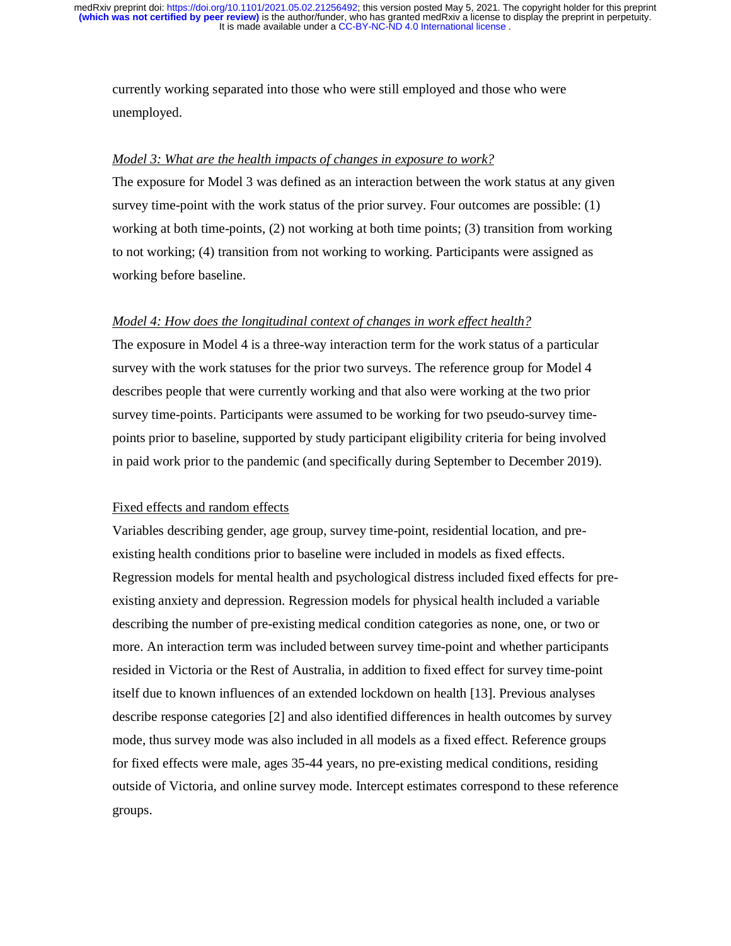currently working separated into those who were still employed and those who were unemployed.

## *Model 3: What are the health impacts of changes in exposure to work?*

The exposure for Model 3 was defined as an interaction between the work status at any given survey time-point with the work status of the prior survey. Four outcomes are possible: (1) working at both time-points, (2) not working at both time points; (3) transition from working to not working; (4) transition from not working to working. Participants were assigned as working before baseline.

## *Model 4: How does the longitudinal context of changes in work effect health?*

The exposure in Model 4 is a three-way interaction term for the work status of a particular survey with the work statuses for the prior two surveys. The reference group for Model 4 describes people that were currently working and that also were working at the two prior survey time-points. Participants were assumed to be working for two pseudo-survey timepoints prior to baseline, supported by study participant eligibility criteria for being involved in paid work prior to the pandemic (and specifically during September to December 2019).

## Fixed effects and random effects

Variables describing gender, age group, survey time-point, residential location, and preexisting health conditions prior to baseline were included in models as fixed effects. Regression models for mental health and psychological distress included fixed effects for preexisting anxiety and depression. Regression models for physical health included a variable describing the number of pre-existing medical condition categories as none, one, or two or more. An interaction term was included between survey time-point and whether participants resided in Victoria or the Rest of Australia, in addition to fixed effect for survey time-point itself due to known influences of an extended lockdown on health [13]. Previous analyses describe response categories [2] and also identified differences in health outcomes by survey mode, thus survey mode was also included in all models as a fixed effect. Reference groups for fixed effects were male, ages 35-44 years, no pre-existing medical conditions, residing outside of Victoria, and online survey mode. Intercept estimates correspond to these reference groups.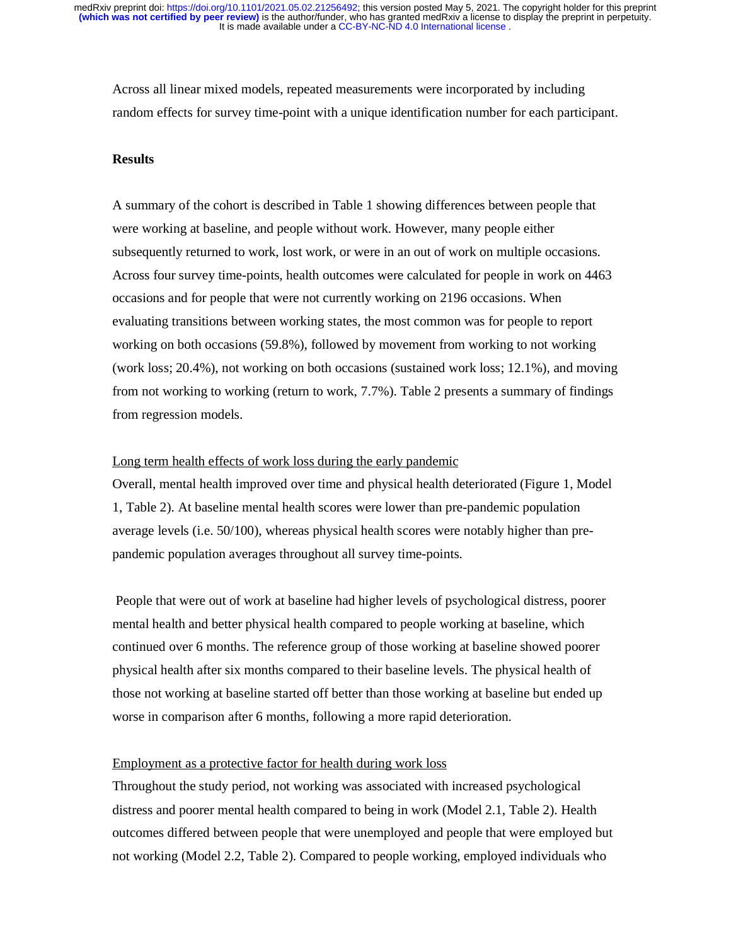Across all linear mixed models, repeated measurements were incorporated by including random effects for survey time-point with a unique identification number for each participant.

## **Results**

A summary of the cohort is described in Table 1 showing differences between people that were working at baseline, and people without work. However, many people either subsequently returned to work, lost work, or were in an out of work on multiple occasions. Across four survey time-points, health outcomes were calculated for people in work on 4463 occasions and for people that were not currently working on 2196 occasions. When evaluating transitions between working states, the most common was for people to report working on both occasions (59.8%), followed by movement from working to not working (work loss; 20.4%), not working on both occasions (sustained work loss; 12.1%), and moving from not working to working (return to work, 7.7%). Table 2 presents a summary of findings from regression models.

## Long term health effects of work loss during the early pandemic

Overall, mental health improved over time and physical health deteriorated (Figure 1, Model 1, Table 2). At baseline mental health scores were lower than pre-pandemic population average levels (i.e. 50/100), whereas physical health scores were notably higher than prepandemic population averages throughout all survey time-points.

 People that were out of work at baseline had higher levels of psychological distress, poorer mental health and better physical health compared to people working at baseline, which continued over 6 months. The reference group of those working at baseline showed poorer physical health after six months compared to their baseline levels. The physical health of those not working at baseline started off better than those working at baseline but ended up worse in comparison after 6 months, following a more rapid deterioration.

## Employment as a protective factor for health during work loss

Throughout the study period, not working was associated with increased psychological distress and poorer mental health compared to being in work (Model 2.1, Table 2). Health outcomes differed between people that were unemployed and people that were employed but not working (Model 2.2, Table 2). Compared to people working, employed individuals who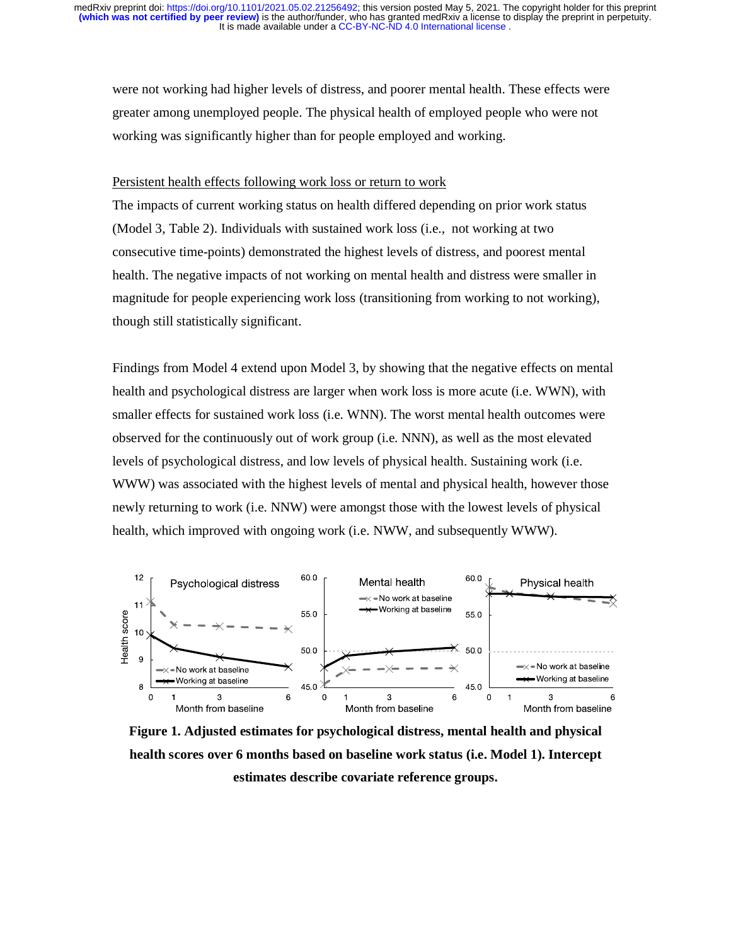It is made available under a [CC-BY-NC-ND 4.0 International license](http://creativecommons.org/licenses/by-nc-nd/4.0/) . **(which was not certified by peer review)** is the author/funder, who has granted medRxiv a license to display the preprint in perpetuity. medRxiv preprint doi: [https://doi.org/10.1101/2021.05.02.21256492;](https://doi.org/10.1101/2021.05.02.21256492) this version posted May 5, 2021. The copyright holder for this preprint

were not working had higher levels of distress, and poorer mental health. These effects were greater among unemployed people. The physical health of employed people who were not working was significantly higher than for people employed and working.

#### Persistent health effects following work loss or return to work

The impacts of current working status on health differed depending on prior work status (Model 3, Table 2). Individuals with sustained work loss (i.e., not working at two consecutive time-points) demonstrated the highest levels of distress, and poorest mental health. The negative impacts of not working on mental health and distress were smaller in magnitude for people experiencing work loss (transitioning from working to not working), though still statistically significant.

Findings from Model 4 extend upon Model 3, by showing that the negative effects on mental health and psychological distress are larger when work loss is more acute (i.e. WWN), with smaller effects for sustained work loss (i.e. WNN). The worst mental health outcomes were observed for the continuously out of work group (i.e. NNN), as well as the most elevated levels of psychological distress, and low levels of physical health. Sustaining work (i.e. WWW) was associated with the highest levels of mental and physical health, however those newly returning to work (i.e. NNW) were amongst those with the lowest levels of physical health, which improved with ongoing work (i.e. NWW, and subsequently WWW).



**Figure 1. Adjusted estimates for psychological distress, mental health and physical health scores over 6 months based on baseline work status (i.e. Model 1). Intercept estimates describe covariate reference groups.**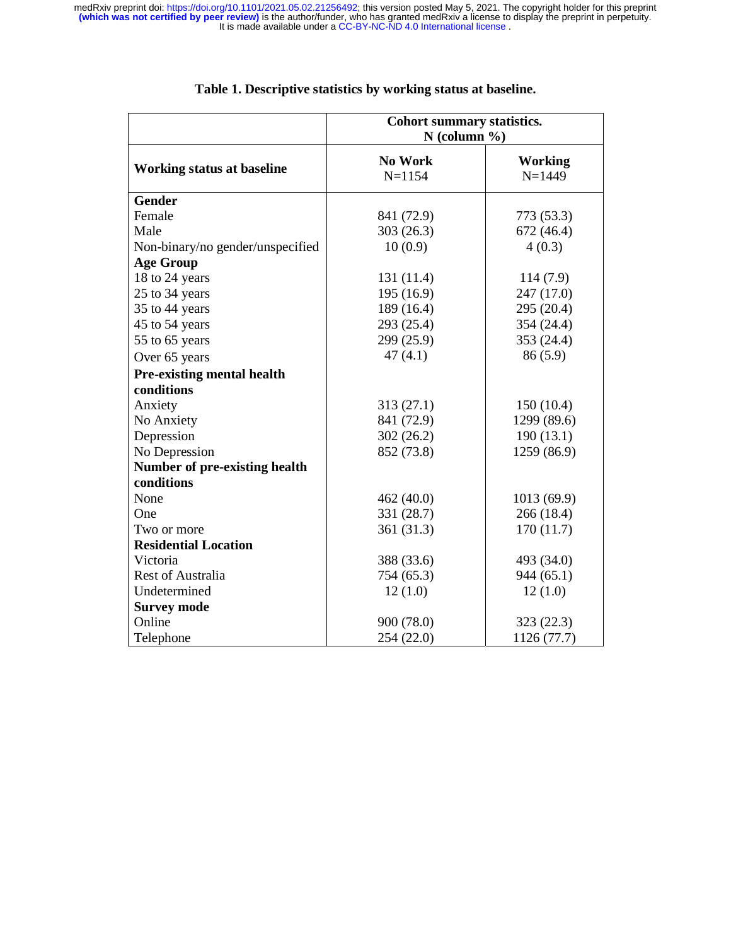|                                      | Cohort summary statistics.<br>$N$ (column %) |                              |  |
|--------------------------------------|----------------------------------------------|------------------------------|--|
| <b>Working status at baseline</b>    | <b>No Work</b><br>$N = 1154$                 | <b>Working</b><br>$N = 1449$ |  |
| <b>Gender</b>                        |                                              |                              |  |
| Female                               | 841 (72.9)                                   | 773 (53.3)                   |  |
| Male                                 | 303(26.3)                                    | 672 (46.4)                   |  |
| Non-binary/no gender/unspecified     | 10(0.9)                                      | 4(0.3)                       |  |
| <b>Age Group</b>                     |                                              |                              |  |
| 18 to 24 years                       | 131 (11.4)                                   | 114(7.9)                     |  |
| 25 to 34 years                       | 195 (16.9)                                   | 247 (17.0)                   |  |
| 35 to 44 years                       | 189 (16.4)                                   | 295 (20.4)                   |  |
| 45 to 54 years                       | 293 (25.4)                                   | 354 (24.4)                   |  |
| 55 to 65 years                       | 299 (25.9)                                   | 353 (24.4)                   |  |
| Over 65 years                        | 47(4.1)                                      | 86(5.9)                      |  |
| <b>Pre-existing mental health</b>    |                                              |                              |  |
| conditions                           |                                              |                              |  |
| Anxiety                              | 313(27.1)                                    | 150(10.4)                    |  |
| No Anxiety                           | 841 (72.9)                                   | 1299 (89.6)                  |  |
| Depression                           | 302(26.2)                                    | 190(13.1)                    |  |
| No Depression                        | 852 (73.8)                                   | 1259 (86.9)                  |  |
| <b>Number of pre-existing health</b> |                                              |                              |  |
| conditions                           |                                              |                              |  |
| None                                 | 462 (40.0)                                   | 1013 (69.9)                  |  |
| One                                  | 331 (28.7)                                   | 266 (18.4)                   |  |
| Two or more                          | 361 (31.3)                                   | 170(11.7)                    |  |
| <b>Residential Location</b>          |                                              |                              |  |
| Victoria                             | 388 (33.6)                                   | 493 (34.0)                   |  |
| <b>Rest of Australia</b>             | 754 (65.3)                                   | 944(65.1)                    |  |
| Undetermined                         | 12(1.0)                                      | 12(1.0)                      |  |
| <b>Survey mode</b>                   |                                              |                              |  |
| Online                               | 900 (78.0)                                   | 323(22.3)                    |  |
| Telephone                            | 254 (22.0)                                   | 1126 (77.7)                  |  |

## **Table 1. Descriptive statistics by working status at baseline.**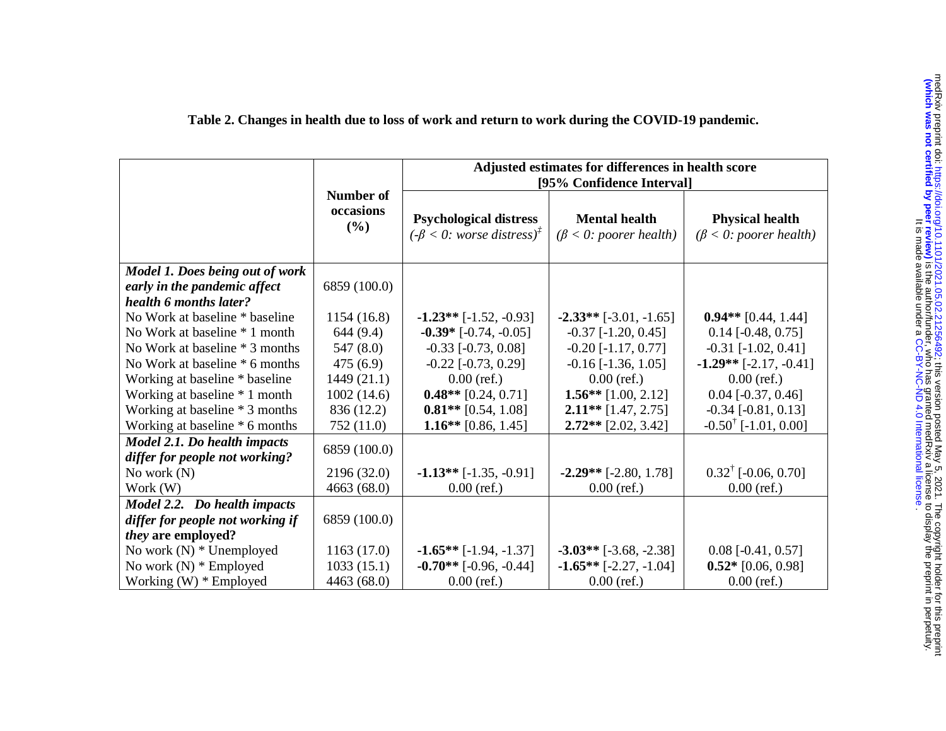|                                                                                           |                               | Adjusted estimates for differences in health score<br>[95% Confidence Interval]                  |                                                       |                                                         |
|-------------------------------------------------------------------------------------------|-------------------------------|--------------------------------------------------------------------------------------------------|-------------------------------------------------------|---------------------------------------------------------|
|                                                                                           | Number of<br>occasions<br>(%) | <b>Psychological distress</b><br>$(-\beta < 0$ : worse distress) <sup><math>\bar{f}</math></sup> | <b>Mental health</b><br>$(\beta < 0$ : poorer health) | <b>Physical health</b><br>$(\beta < 0$ : poorer health) |
| Model 1. Does being out of work<br>early in the pandemic affect<br>health 6 months later? | 6859 (100.0)                  |                                                                                                  |                                                       |                                                         |
| No Work at baseline * baseline                                                            | 1154 (16.8)                   | $-1.23**$ [ $-1.52$ , $-0.93$ ]                                                                  | $-2.33**$ [-3.01, -1.65]                              | $0.94**$ [0.44, 1.44]                                   |
| No Work at baseline * 1 month                                                             | 644 (9.4)                     | $-0.39*$ $[-0.74, -0.05]$                                                                        | $-0.37$ $[-1.20, 0.45]$                               | $0.14$ [-0.48, 0.75]                                    |
| No Work at baseline * 3 months                                                            | 547(8.0)                      | $-0.33$ [ $-0.73$ , $0.08$ ]                                                                     | $-0.20$ [ $-1.17, 0.77$ ]                             | $-0.31$ [ $-1.02, 0.41$ ]                               |
| No Work at baseline * 6 months                                                            | 475(6.9)                      | $-0.22$ [ $-0.73$ , $0.29$ ]                                                                     | $-0.16$ [ $-1.36$ , $1.05$ ]                          | $-1.29**$ [-2.17, -0.41]                                |
| Working at baseline * baseline                                                            | 1449(21.1)                    | $0.00$ (ref.)                                                                                    | $0.00$ (ref.)                                         | $0.00$ (ref.)                                           |
| Working at baseline * 1 month                                                             | 1002(14.6)                    | $0.48**$ [0.24, 0.71]                                                                            | $1.56**$ [1.00, 2.12]                                 | $0.04$ [ $-0.37, 0.46$ ]                                |
| Working at baseline * 3 months                                                            | 836 (12.2)                    | $0.81**$ [0.54, 1.08]                                                                            | $2.11**$ [1.47, 2.75]                                 | $-0.34$ [ $-0.81$ , $0.13$ ]                            |
| Working at baseline * 6 months                                                            | 752 (11.0)                    | $1.16**$ [0.86, 1.45]                                                                            | $2.72**$ [2.02, 3.42]                                 | $-0.50^{\dagger}$ [-1.01, 0.00]                         |
| Model 2.1. Do health impacts<br>differ for people not working?                            | 6859 (100.0)                  |                                                                                                  |                                                       |                                                         |
| No work $(N)$                                                                             | 2196 (32.0)                   | $-1.13**$ [ $-1.35, -0.91$ ]                                                                     | $-2.29**$ [-2.80, 1.78]                               | $0.32^{\dagger}$ [-0.06, 0.70]                          |
| Work (W)                                                                                  | 4663(68.0)                    | $0.00$ (ref.)                                                                                    | $0.00$ (ref.)                                         | $0.00$ (ref.)                                           |
| Model 2.2. Do health impacts                                                              |                               |                                                                                                  |                                                       |                                                         |
| differ for people not working if                                                          | 6859 (100.0)                  |                                                                                                  |                                                       |                                                         |
| <i>they</i> are employed?                                                                 |                               |                                                                                                  |                                                       |                                                         |
| No work (N) * Unemployed                                                                  | 1163(17.0)                    | $-1.65**$ [ $-1.94$ , $-1.37$ ]                                                                  | $-3.03**$ [-3.68, -2.38]                              | $0.08$ [-0.41, 0.57]                                    |
| No work $(N)$ * Employed                                                                  | 1033(15.1)                    | $-0.70**$ [-0.96, -0.44]                                                                         | $-1.65**$ [ $-2.27, -1.04$ ]                          | $0.52*$ [0.06, 0.98]                                    |
| Working $(W)$ * Employed                                                                  | 4463 (68.0)                   | $0.00$ (ref.)                                                                                    | $0.00$ (ref.)                                         | $0.00$ (ref.)                                           |

## **Table 2. Changes in health due to loss of work and return to work during the COVID-19 pandemic.**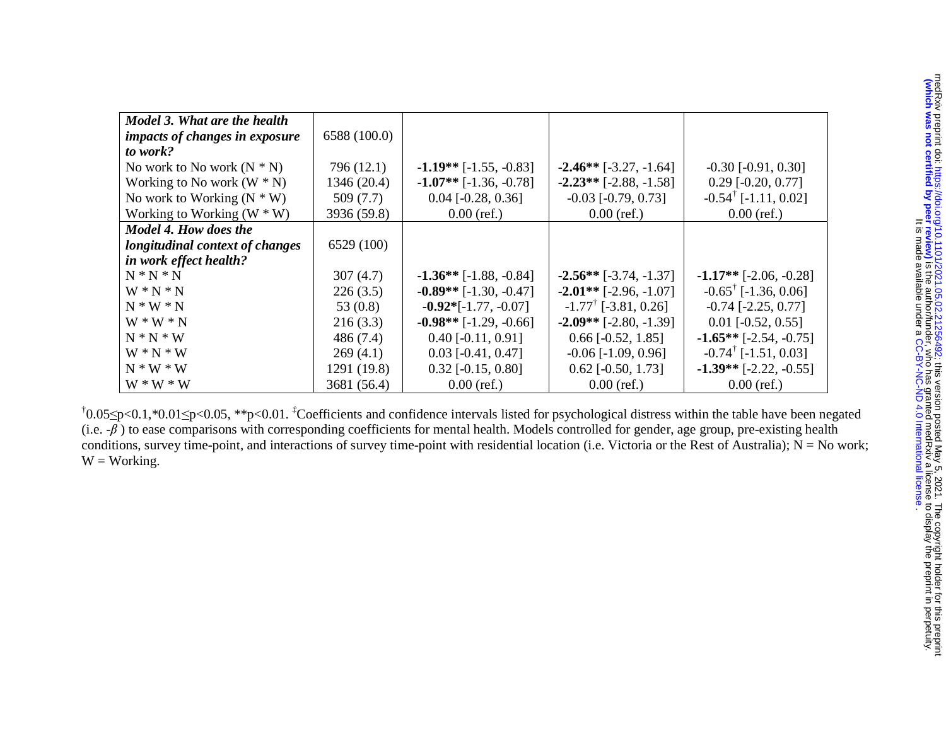| Model 3. What are the health          |              |                          |                                 |                                        |
|---------------------------------------|--------------|--------------------------|---------------------------------|----------------------------------------|
| <i>impacts of changes in exposure</i> | 6588 (100.0) |                          |                                 |                                        |
| to work?                              |              |                          |                                 |                                        |
| No work to No work $(N * N)$          | 796 (12.1)   | $-1.19**$ [-1.55, -0.83] | $-2.46**$ [-3.27, -1.64]        | $-0.30$ [ $-0.91, 0.30$ ]              |
| Working to No work $(W * N)$          | 1346 (20.4)  | $-1.07**$ [-1.36, -0.78] | $-2.23**$ [-2.88, -1.58]        | $0.29$ [-0.20, 0.77]                   |
| No work to Working $(N * W)$          | 509(7.7)     | $0.04$ [-0.28, 0.36]     | $-0.03$ [ $-0.79, 0.73$ ]       | $-0.54$ <sup>T</sup> [-1.11, 0.02]     |
| Working to Working $(W * W)$          | 3936 (59.8)  | $0.00$ (ref.)            | $0.00$ (ref.)                   | $0.00$ (ref.)                          |
| Model 4. How does the                 |              |                          |                                 |                                        |
| longitudinal context of changes       | 6529 (100)   |                          |                                 |                                        |
| in work effect health?                |              |                          |                                 |                                        |
| $N*N*N$                               | 307(4.7)     | $-1.36**$ [-1.88, -0.84] | $-2.56**$ [-3.74, -1.37]        | $-1.17**$ [-2.06, -0.28]               |
| $W*N*N$                               | 226(3.5)     | $-0.89**$ [-1.30, -0.47] | $-2.01**$ [-2.96, -1.07]        | $-0.65^{\dagger}$ [-1.36, 0.06]        |
| $N * W * N$                           | 53 $(0.8)$   | $-0.92*[-1.77, -0.07]$   | $-1.77^{\dagger}$ [-3.81, 0.26] | $-0.74$ [ $-2.25$ , $0.77$ ]           |
| $W * W * N$                           | 216(3.3)     | $-0.98**$ [-1.29, -0.66] | $-2.09**$ [-2.80, -1.39]        | $0.01$ [ $-0.52$ , $0.55$ ]            |
| $N*N*N$                               | 486 (7.4)    | $0.40$ [-0.11, 0.91]     | $0.66$ [ $-0.52$ , 1.85]        | $-1.65**$ [-2.54, -0.75]               |
| $W * N * W$                           | 269(4.1)     | $0.03$ [-0.41, 0.47]     | $-0.06$ [ $-1.09$ , 0.96]       | $-0.74$ <sup>†</sup> [ $-1.51, 0.03$ ] |
| $N * W * W$                           | 1291 (19.8)  | $0.32$ [-0.15, 0.80]     | $0.62$ [-0.50, 1.73]            | $-1.39**$ [-2.22, -0.55]               |
| $W * W * W$                           | 3681 (56.4)  | $0.00$ (ref.)            | $0.00$ (ref.)                   | $0.00$ (ref.)                          |

†0.05≤p<0.1,\*0.01≤p<0.05, \*\*p<0.01. *‡*Coefficients and confidence intervals listed for psychological distress within the table have been negated (i.e. *-*β ) to ease comparisons with corresponding coefficients for mental health. Models controlled for gender, age group, pre-existing health conditions, survey time-point, and interactions of survey time-point with residential location (i.e. Victoria or the Rest of Australia);  $N = No$  work;  $W = Working$ .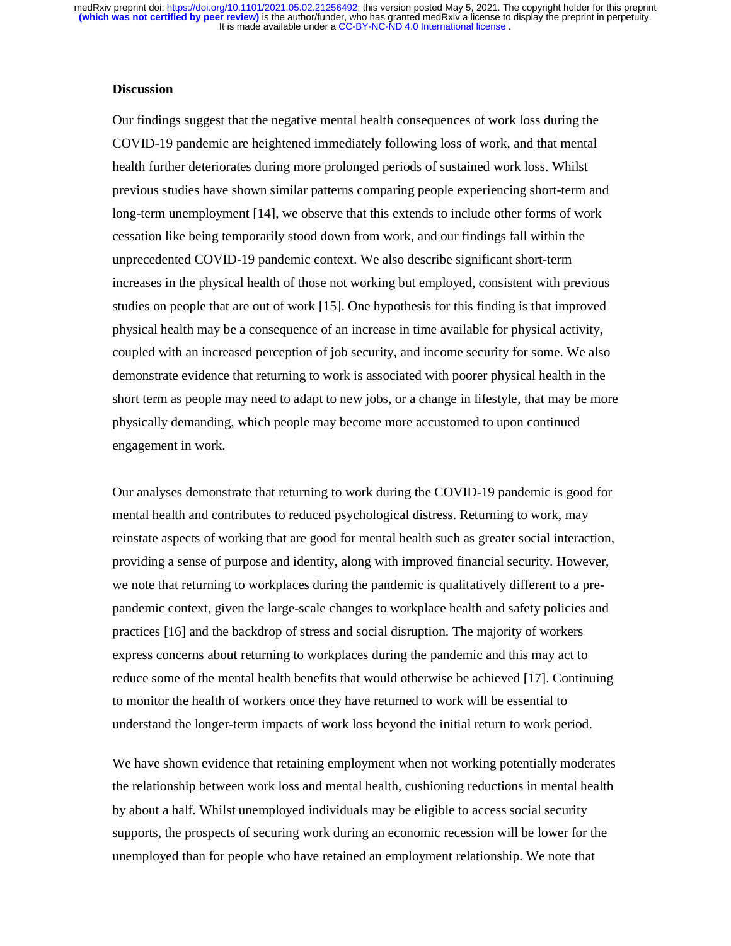## **Discussion**

Our findings suggest that the negative mental health consequences of work loss during the COVID-19 pandemic are heightened immediately following loss of work, and that mental health further deteriorates during more prolonged periods of sustained work loss. Whilst previous studies have shown similar patterns comparing people experiencing short-term and long-term unemployment [14], we observe that this extends to include other forms of work cessation like being temporarily stood down from work, and our findings fall within the unprecedented COVID-19 pandemic context. We also describe significant short-term increases in the physical health of those not working but employed, consistent with previous studies on people that are out of work [15]. One hypothesis for this finding is that improved physical health may be a consequence of an increase in time available for physical activity, coupled with an increased perception of job security, and income security for some. We also demonstrate evidence that returning to work is associated with poorer physical health in the short term as people may need to adapt to new jobs, or a change in lifestyle, that may be more physically demanding, which people may become more accustomed to upon continued engagement in work.

Our analyses demonstrate that returning to work during the COVID-19 pandemic is good for mental health and contributes to reduced psychological distress. Returning to work, may reinstate aspects of working that are good for mental health such as greater social interaction, providing a sense of purpose and identity, along with improved financial security. However, we note that returning to workplaces during the pandemic is qualitatively different to a prepandemic context, given the large-scale changes to workplace health and safety policies and practices [16] and the backdrop of stress and social disruption. The majority of workers express concerns about returning to workplaces during the pandemic and this may act to reduce some of the mental health benefits that would otherwise be achieved [17]. Continuing to monitor the health of workers once they have returned to work will be essential to understand the longer-term impacts of work loss beyond the initial return to work period.

We have shown evidence that retaining employment when not working potentially moderates the relationship between work loss and mental health, cushioning reductions in mental health by about a half. Whilst unemployed individuals may be eligible to access social security supports, the prospects of securing work during an economic recession will be lower for the unemployed than for people who have retained an employment relationship. We note that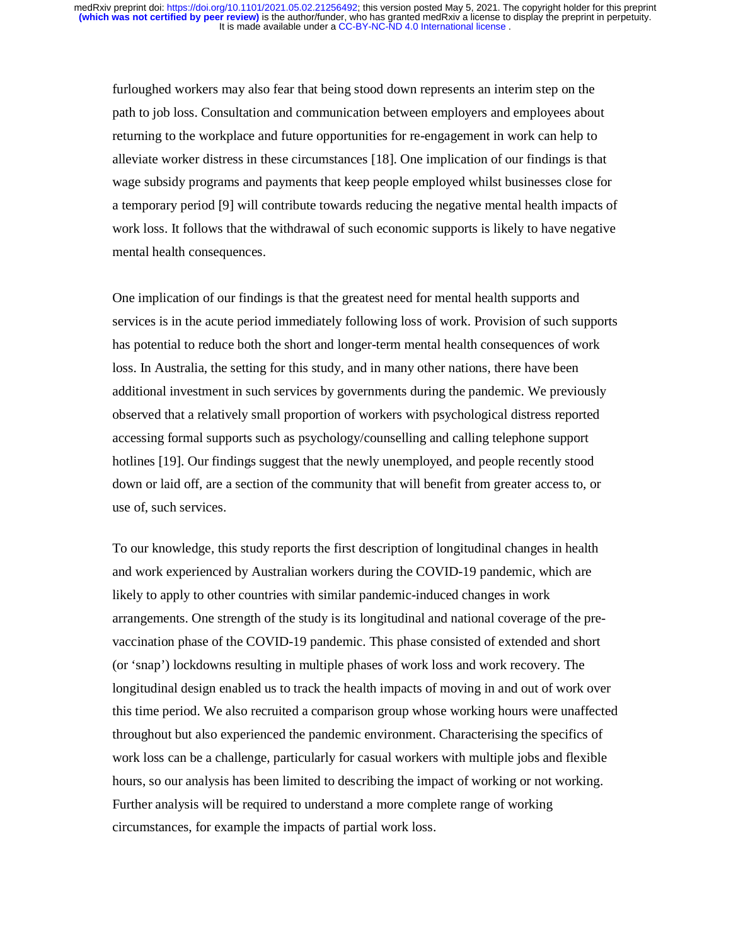furloughed workers may also fear that being stood down represents an interim step on the path to job loss. Consultation and communication between employers and employees about returning to the workplace and future opportunities for re-engagement in work can help to alleviate worker distress in these circumstances [18]. One implication of our findings is that wage subsidy programs and payments that keep people employed whilst businesses close for a temporary period [9] will contribute towards reducing the negative mental health impacts of work loss. It follows that the withdrawal of such economic supports is likely to have negative mental health consequences.

One implication of our findings is that the greatest need for mental health supports and services is in the acute period immediately following loss of work. Provision of such supports has potential to reduce both the short and longer-term mental health consequences of work loss. In Australia, the setting for this study, and in many other nations, there have been additional investment in such services by governments during the pandemic. We previously observed that a relatively small proportion of workers with psychological distress reported accessing formal supports such as psychology/counselling and calling telephone support hotlines [19]. Our findings suggest that the newly unemployed, and people recently stood down or laid off, are a section of the community that will benefit from greater access to, or use of, such services.

To our knowledge, this study reports the first description of longitudinal changes in health and work experienced by Australian workers during the COVID-19 pandemic, which are likely to apply to other countries with similar pandemic-induced changes in work arrangements. One strength of the study is its longitudinal and national coverage of the prevaccination phase of the COVID-19 pandemic. This phase consisted of extended and short (or 'snap') lockdowns resulting in multiple phases of work loss and work recovery. The longitudinal design enabled us to track the health impacts of moving in and out of work over this time period. We also recruited a comparison group whose working hours were unaffected throughout but also experienced the pandemic environment. Characterising the specifics of work loss can be a challenge, particularly for casual workers with multiple jobs and flexible hours, so our analysis has been limited to describing the impact of working or not working. Further analysis will be required to understand a more complete range of working circumstances, for example the impacts of partial work loss.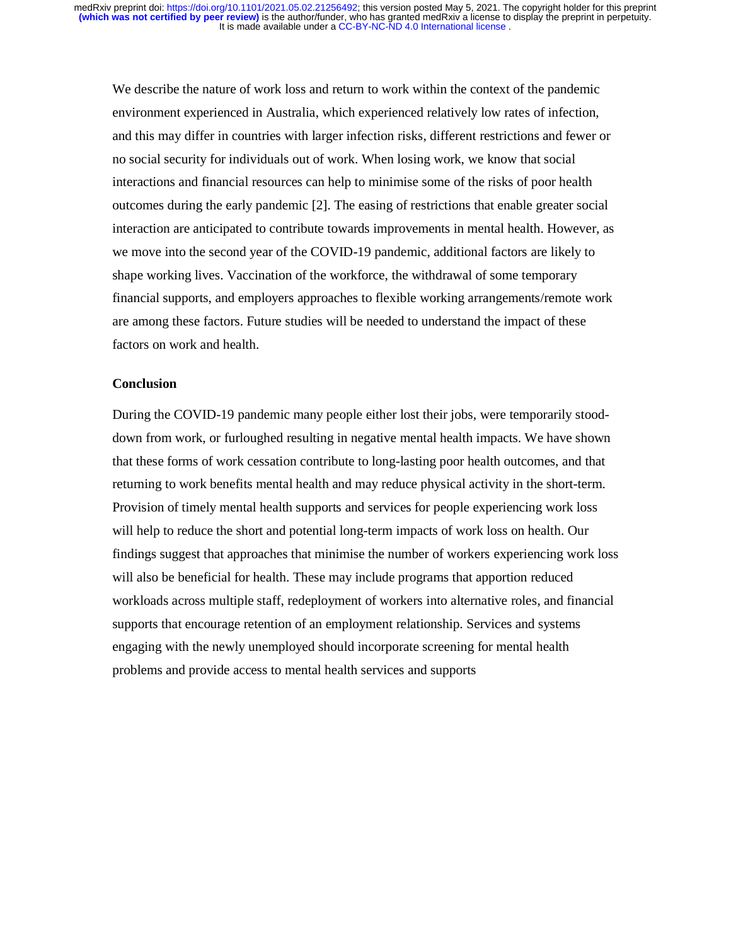We describe the nature of work loss and return to work within the context of the pandemic environment experienced in Australia, which experienced relatively low rates of infection, and this may differ in countries with larger infection risks, different restrictions and fewer or no social security for individuals out of work. When losing work, we know that social interactions and financial resources can help to minimise some of the risks of poor health outcomes during the early pandemic [2]. The easing of restrictions that enable greater social interaction are anticipated to contribute towards improvements in mental health. However, as we move into the second year of the COVID-19 pandemic, additional factors are likely to shape working lives. Vaccination of the workforce, the withdrawal of some temporary financial supports, and employers approaches to flexible working arrangements/remote work are among these factors. Future studies will be needed to understand the impact of these factors on work and health.

## **Conclusion**

During the COVID-19 pandemic many people either lost their jobs, were temporarily stooddown from work, or furloughed resulting in negative mental health impacts. We have shown that these forms of work cessation contribute to long-lasting poor health outcomes, and that returning to work benefits mental health and may reduce physical activity in the short-term. Provision of timely mental health supports and services for people experiencing work loss will help to reduce the short and potential long-term impacts of work loss on health. Our findings suggest that approaches that minimise the number of workers experiencing work loss will also be beneficial for health. These may include programs that apportion reduced workloads across multiple staff, redeployment of workers into alternative roles, and financial supports that encourage retention of an employment relationship. Services and systems engaging with the newly unemployed should incorporate screening for mental health problems and provide access to mental health services and supports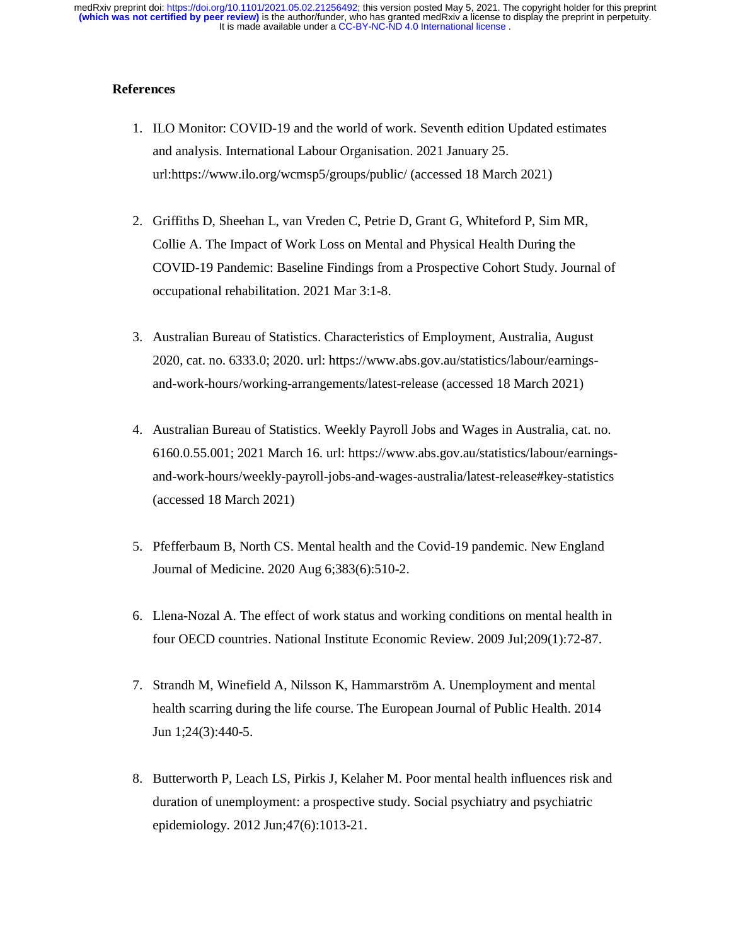## **References**

- 1. ILO Monitor: COVID-19 and the world of work. Seventh edition Updated estimates and analysis. International Labour Organisation. 2021 January 25. url:https://www.ilo.org/wcmsp5/groups/public/ (accessed 18 March 2021)
- 2. Griffiths D, Sheehan L, van Vreden C, Petrie D, Grant G, Whiteford P, Sim MR, Collie A. The Impact of Work Loss on Mental and Physical Health During the COVID-19 Pandemic: Baseline Findings from a Prospective Cohort Study. Journal of occupational rehabilitation. 2021 Mar 3:1-8.
- 3. Australian Bureau of Statistics. Characteristics of Employment, Australia, August 2020, cat. no. 6333.0; 2020. url: https://www.abs.gov.au/statistics/labour/earningsand-work-hours/working-arrangements/latest-release (accessed 18 March 2021)
- 4. Australian Bureau of Statistics. Weekly Payroll Jobs and Wages in Australia, cat. no. 6160.0.55.001; 2021 March 16. url: https://www.abs.gov.au/statistics/labour/earningsand-work-hours/weekly-payroll-jobs-and-wages-australia/latest-release#key-statistics (accessed 18 March 2021)
- 5. Pfefferbaum B, North CS. Mental health and the Covid-19 pandemic. New England Journal of Medicine. 2020 Aug 6;383(6):510-2.
- 6. Llena-Nozal A. The effect of work status and working conditions on mental health in four OECD countries. National Institute Economic Review. 2009 Jul;209(1):72-87.
- 7. Strandh M, Winefield A, Nilsson K, Hammarström A. Unemployment and mental health scarring during the life course. The European Journal of Public Health. 2014 Jun 1;24(3):440-5.
- 8. Butterworth P, Leach LS, Pirkis J, Kelaher M. Poor mental health influences risk and duration of unemployment: a prospective study. Social psychiatry and psychiatric epidemiology. 2012 Jun;47(6):1013-21.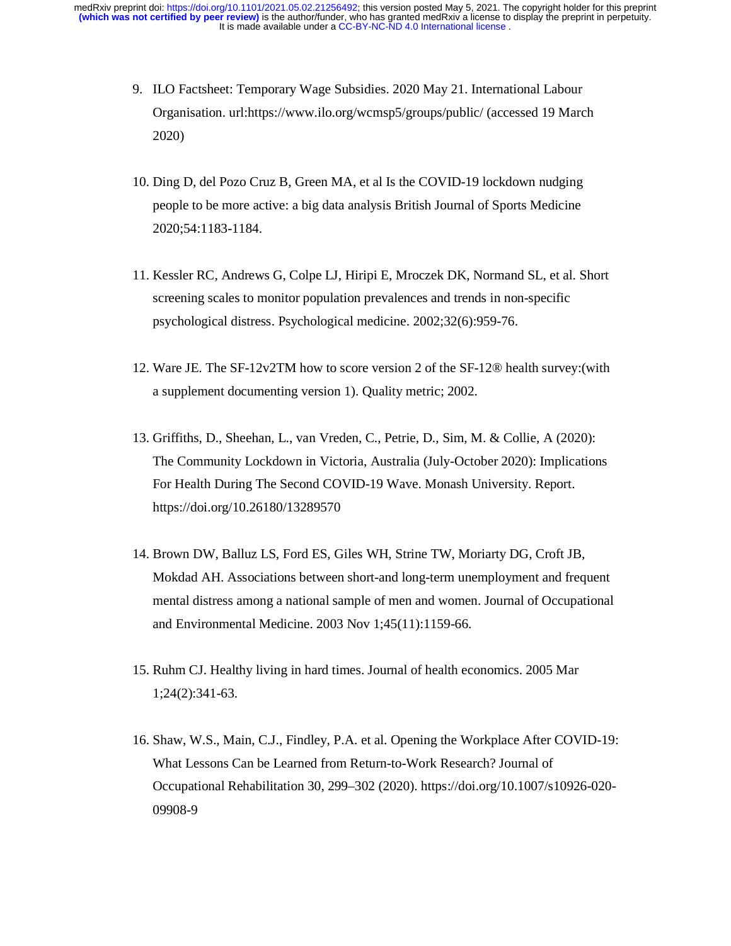- 9. ILO Factsheet: Temporary Wage Subsidies. 2020 May 21. International Labour Organisation. url:https://www.ilo.org/wcmsp5/groups/public/ (accessed 19 March 2020)
- 10. Ding D, del Pozo Cruz B, Green MA, et al Is the COVID-19 lockdown nudging people to be more active: a big data analysis British Journal of Sports Medicine 2020;54:1183-1184.
- 11. Kessler RC, Andrews G, Colpe LJ, Hiripi E, Mroczek DK, Normand SL, et al. Short screening scales to monitor population prevalences and trends in non-specific psychological distress. Psychological medicine. 2002;32(6):959-76.
- 12. Ware JE. The SF-12v2TM how to score version 2 of the SF-12® health survey:(with a supplement documenting version 1). Quality metric; 2002.
- 13. Griffiths, D., Sheehan, L., van Vreden, C., Petrie, D., Sim, M. & Collie, A (2020): The Community Lockdown in Victoria, Australia (July-October 2020): Implications For Health During The Second COVID-19 Wave. Monash University. Report. https://doi.org/10.26180/13289570
- 14. Brown DW, Balluz LS, Ford ES, Giles WH, Strine TW, Moriarty DG, Croft JB, Mokdad AH. Associations between short-and long-term unemployment and frequent mental distress among a national sample of men and women. Journal of Occupational and Environmental Medicine. 2003 Nov 1;45(11):1159-66.
- 15. Ruhm CJ. Healthy living in hard times. Journal of health economics. 2005 Mar 1;24(2):341-63.
- 16. Shaw, W.S., Main, C.J., Findley, P.A. et al. Opening the Workplace After COVID-19: What Lessons Can be Learned from Return-to-Work Research? Journal of Occupational Rehabilitation 30, 299–302 (2020). https://doi.org/10.1007/s10926-020- 09908-9